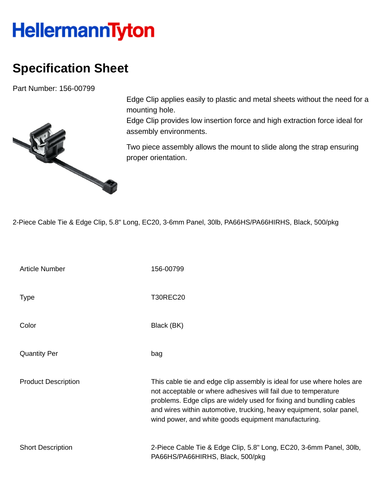## **HellermannTyton**

## **Specification Sheet**

Part Number: 156-00799



Edge Clip applies easily to plastic and metal sheets without the need for a mounting hole.

Edge Clip provides low insertion force and high extraction force ideal for assembly environments.

Two piece assembly allows the mount to slide along the strap ensuring proper orientation.

2-Piece Cable Tie & Edge Clip, 5.8" Long, EC20, 3-6mm Panel, 30lb, PA66HS/PA66HIRHS, Black, 500/pkg

| <b>Article Number</b>      | 156-00799                                                                                                                                                                                                                                                                                                                                       |
|----------------------------|-------------------------------------------------------------------------------------------------------------------------------------------------------------------------------------------------------------------------------------------------------------------------------------------------------------------------------------------------|
| <b>Type</b>                | <b>T30REC20</b>                                                                                                                                                                                                                                                                                                                                 |
| Color                      | Black (BK)                                                                                                                                                                                                                                                                                                                                      |
| <b>Quantity Per</b>        | bag                                                                                                                                                                                                                                                                                                                                             |
| <b>Product Description</b> | This cable tie and edge clip assembly is ideal for use where holes are<br>not acceptable or where adhesives will fail due to temperature<br>problems. Edge clips are widely used for fixing and bundling cables<br>and wires within automotive, trucking, heavy equipment, solar panel,<br>wind power, and white goods equipment manufacturing. |
| <b>Short Description</b>   | 2-Piece Cable Tie & Edge Clip, 5.8" Long, EC20, 3-6mm Panel, 30lb,<br>PA66HS/PA66HIRHS, Black, 500/pkg                                                                                                                                                                                                                                          |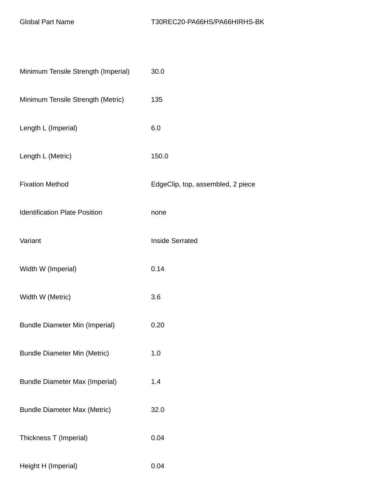| Minimum Tensile Strength (Imperial)   | 30.0                              |
|---------------------------------------|-----------------------------------|
| Minimum Tensile Strength (Metric)     | 135                               |
| Length L (Imperial)                   | 6.0                               |
| Length L (Metric)                     | 150.0                             |
| <b>Fixation Method</b>                | EdgeClip, top, assembled, 2 piece |
| <b>Identification Plate Position</b>  | none                              |
| Variant                               | <b>Inside Serrated</b>            |
| Width W (Imperial)                    | 0.14                              |
| Width W (Metric)                      | 3.6                               |
| <b>Bundle Diameter Min (Imperial)</b> | 0.20                              |
| <b>Bundle Diameter Min (Metric)</b>   | 1.0                               |
| <b>Bundle Diameter Max (Imperial)</b> | 1.4                               |
| <b>Bundle Diameter Max (Metric)</b>   | 32.0                              |
| Thickness T (Imperial)                | 0.04                              |
| Height H (Imperial)                   | 0.04                              |